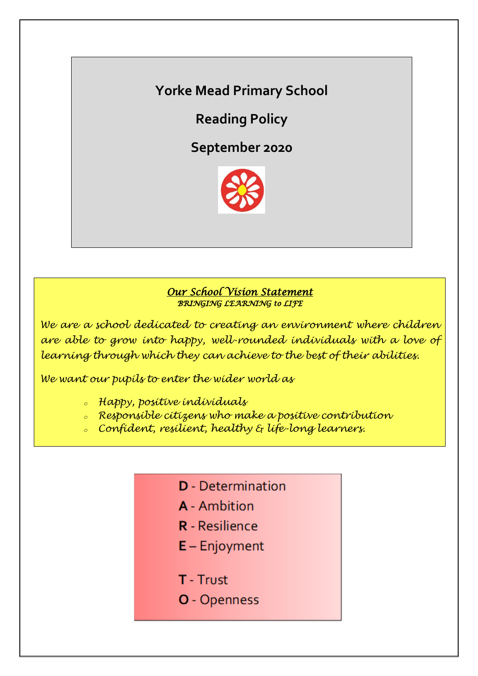# **Yorke Mead Primary School**

**Reading Policy**

**September 2020**



### *Our School Vision Statement BRINGING LEARNING to LIFE*

*We are a school dedicated to creating an environment where children are able to grow into happy, well-rounded individuals with a love of learning through which they can achieve to the best of their abilities.*

*We want our pupils to enter the wider world as*

- *<sup>o</sup> Happy, positive individuals*
- *<sup>o</sup> Responsible citizens who make a positive contribution*
- *<sup>o</sup> Confident, resilient, healthy & life-long learners.*
	- **D** Determination
	- **A** Ambition
	- **R** Resilience
	- $E -$  Enjoyment
	- T Trust
	- **O** Openness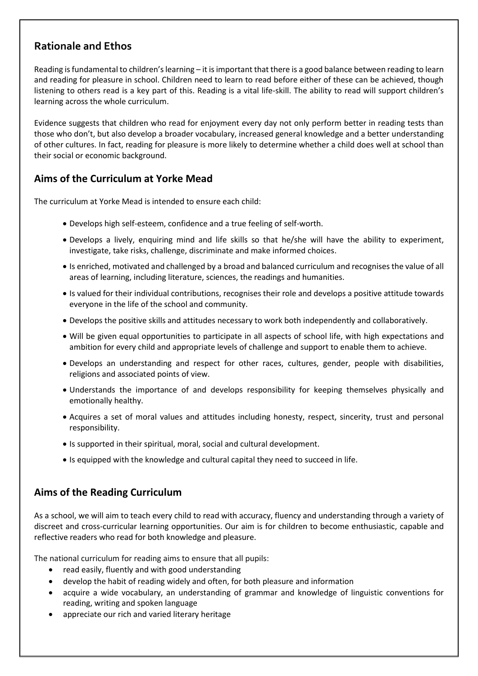# **Rationale and Ethos**

Reading is fundamental to children's learning – it is important that there is a good balance between reading to learn and reading for pleasure in school. Children need to learn to read before either of these can be achieved, though listening to others read is a key part of this. Reading is a vital life-skill. The ability to read will support children's learning across the whole curriculum.

Evidence suggests that children who read for enjoyment every day not only perform better in reading tests than those who don't, but also develop a broader vocabulary, increased general knowledge and a better understanding of other cultures. In fact, reading for pleasure is more likely to determine whether a child does well at school than their social or economic background.

# **Aims of the Curriculum at Yorke Mead**

The curriculum at Yorke Mead is intended to ensure each child:

- Develops high self-esteem, confidence and a true feeling of self-worth.
- Develops a lively, enquiring mind and life skills so that he/she will have the ability to experiment, investigate, take risks, challenge, discriminate and make informed choices.
- Is enriched, motivated and challenged by a broad and balanced curriculum and recognises the value of all areas of learning, including literature, sciences, the readings and humanities.
- Is valued for their individual contributions, recognises their role and develops a positive attitude towards everyone in the life of the school and community.
- Develops the positive skills and attitudes necessary to work both independently and collaboratively.
- Will be given equal opportunities to participate in all aspects of school life, with high expectations and ambition for every child and appropriate levels of challenge and support to enable them to achieve.
- Develops an understanding and respect for other races, cultures, gender, people with disabilities, religions and associated points of view.
- Understands the importance of and develops responsibility for keeping themselves physically and emotionally healthy.
- Acquires a set of moral values and attitudes including honesty, respect, sincerity, trust and personal responsibility.
- Is supported in their spiritual, moral, social and cultural development.
- Is equipped with the knowledge and cultural capital they need to succeed in life.

# **Aims of the Reading Curriculum**

As a school, we will aim to teach every child to read with accuracy, fluency and understanding through a variety of discreet and cross-curricular learning opportunities. Our aim is for children to become enthusiastic, capable and reflective readers who read for both knowledge and pleasure.

The national curriculum for reading aims to ensure that all pupils:

- read easily, fluently and with good understanding
- develop the habit of reading widely and often, for both pleasure and information
- acquire a wide vocabulary, an understanding of grammar and knowledge of linguistic conventions for reading, writing and spoken language
- appreciate our rich and varied literary heritage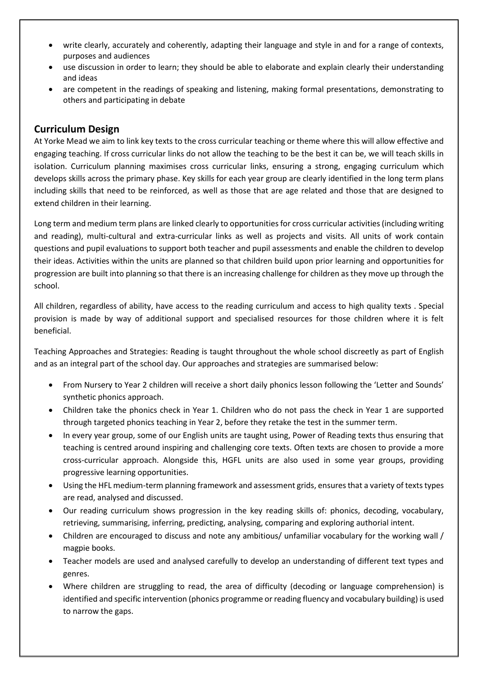- write clearly, accurately and coherently, adapting their language and style in and for a range of contexts, purposes and audiences
- use discussion in order to learn; they should be able to elaborate and explain clearly their understanding and ideas
- are competent in the readings of speaking and listening, making formal presentations, demonstrating to others and participating in debate

#### **Curriculum Design**

At Yorke Mead we aim to link key texts to the cross curricular teaching or theme where this will allow effective and engaging teaching. If cross curricular links do not allow the teaching to be the best it can be, we will teach skills in isolation. Curriculum planning maximises cross curricular links, ensuring a strong, engaging curriculum which develops skills across the primary phase. Key skills for each year group are clearly identified in the long term plans including skills that need to be reinforced, as well as those that are age related and those that are designed to extend children in their learning.

Long term and medium term plans are linked clearly to opportunities for cross curricular activities (including writing and reading), multi-cultural and extra-curricular links as well as projects and visits. All units of work contain questions and pupil evaluations to support both teacher and pupil assessments and enable the children to develop their ideas. Activities within the units are planned so that children build upon prior learning and opportunities for progression are built into planning so that there is an increasing challenge for children as they move up through the school.

All children, regardless of ability, have access to the reading curriculum and access to high quality texts . Special provision is made by way of additional support and specialised resources for those children where it is felt beneficial.

Teaching Approaches and Strategies: Reading is taught throughout the whole school discreetly as part of English and as an integral part of the school day. Our approaches and strategies are summarised below:

- From Nursery to Year 2 children will receive a short daily phonics lesson following the 'Letter and Sounds' synthetic phonics approach.
- Children take the phonics check in Year 1. Children who do not pass the check in Year 1 are supported through targeted phonics teaching in Year 2, before they retake the test in the summer term.
- In every year group, some of our English units are taught using, Power of Reading texts thus ensuring that teaching is centred around inspiring and challenging core texts. Often texts are chosen to provide a more cross-curricular approach. Alongside this, HGFL units are also used in some year groups, providing progressive learning opportunities.
- Using the HFL medium-term planning framework and assessment grids, ensures that a variety of texts types are read, analysed and discussed.
- Our reading curriculum shows progression in the key reading skills of: phonics, decoding, vocabulary, retrieving, summarising, inferring, predicting, analysing, comparing and exploring authorial intent.
- Children are encouraged to discuss and note any ambitious/ unfamiliar vocabulary for the working wall / magpie books.
- Teacher models are used and analysed carefully to develop an understanding of different text types and genres.
- Where children are struggling to read, the area of difficulty (decoding or language comprehension) is identified and specific intervention (phonics programme or reading fluency and vocabulary building) is used to narrow the gaps.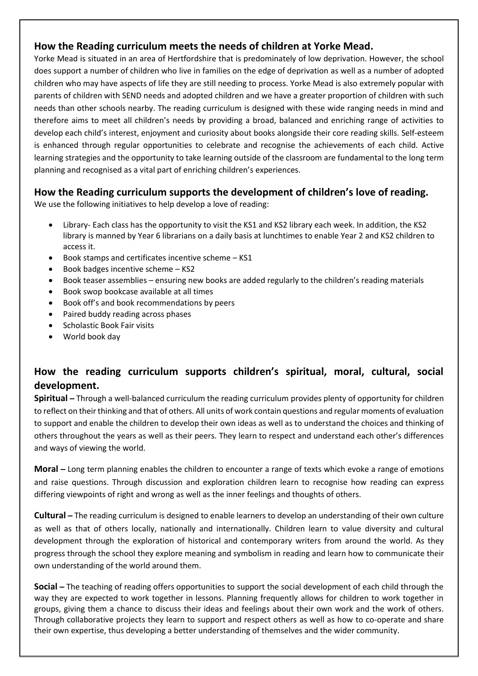# **How the Reading curriculum meets the needs of children at Yorke Mead.**

Yorke Mead is situated in an area of Hertfordshire that is predominately of low deprivation. However, the school does support a number of children who live in families on the edge of deprivation as well as a number of adopted children who may have aspects of life they are still needing to process. Yorke Mead is also extremely popular with parents of children with SEND needs and adopted children and we have a greater proportion of children with such needs than other schools nearby. The reading curriculum is designed with these wide ranging needs in mind and therefore aims to meet all children's needs by providing a broad, balanced and enriching range of activities to develop each child's interest, enjoyment and curiosity about books alongside their core reading skills. Self-esteem is enhanced through regular opportunities to celebrate and recognise the achievements of each child. Active learning strategies and the opportunity to take learning outside of the classroom are fundamental to the long term planning and recognised as a vital part of enriching children's experiences.

# **How the Reading curriculum supports the development of children's love of reading.**

We use the following initiatives to help develop a love of reading:

- Library- Each class has the opportunity to visit the KS1 and KS2 library each week. In addition, the KS2 library is manned by Year 6 librarians on a daily basis at lunchtimes to enable Year 2 and KS2 children to access it.
- $\bullet$  Book stamps and certificates incentive scheme KS1
- Book badges incentive scheme KS2
- Book teaser assemblies ensuring new books are added regularly to the children's reading materials
- Book swop bookcase available at all times
- Book off's and book recommendations by peers
- Paired buddy reading across phases
- Scholastic Book Fair visits
- World book day

# **How the reading curriculum supports children's spiritual, moral, cultural, social development.**

**Spiritual –** Through a well-balanced curriculum the reading curriculum provides plenty of opportunity for children to reflect on their thinking and that of others. All units of work contain questions and regular moments of evaluation to support and enable the children to develop their own ideas as well as to understand the choices and thinking of others throughout the years as well as their peers. They learn to respect and understand each other's differences and ways of viewing the world.

**Moral –** Long term planning enables the children to encounter a range of texts which evoke a range of emotions and raise questions. Through discussion and exploration children learn to recognise how reading can express differing viewpoints of right and wrong as well as the inner feelings and thoughts of others.

**Cultural –** The reading curriculum is designed to enable learners to develop an understanding of their own culture as well as that of others locally, nationally and internationally. Children learn to value diversity and cultural development through the exploration of historical and contemporary writers from around the world. As they progress through the school they explore meaning and symbolism in reading and learn how to communicate their own understanding of the world around them.

**Social –** The teaching of reading offers opportunities to support the social development of each child through the way they are expected to work together in lessons. Planning frequently allows for children to work together in groups, giving them a chance to discuss their ideas and feelings about their own work and the work of others. Through collaborative projects they learn to support and respect others as well as how to co-operate and share their own expertise, thus developing a better understanding of themselves and the wider community.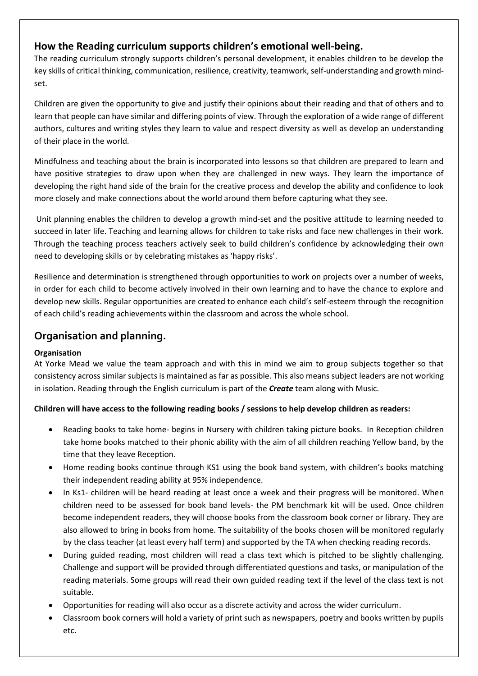## **How the Reading curriculum supports children's emotional well-being.**

The reading curriculum strongly supports children's personal development, it enables children to be develop the key skills of critical thinking, communication, resilience, creativity, teamwork, self-understanding and growth mindset.

Children are given the opportunity to give and justify their opinions about their reading and that of others and to learn that people can have similar and differing points of view. Through the exploration of a wide range of different authors, cultures and writing styles they learn to value and respect diversity as well as develop an understanding of their place in the world.

Mindfulness and teaching about the brain is incorporated into lessons so that children are prepared to learn and have positive strategies to draw upon when they are challenged in new ways. They learn the importance of developing the right hand side of the brain for the creative process and develop the ability and confidence to look more closely and make connections about the world around them before capturing what they see.

Unit planning enables the children to develop a growth mind-set and the positive attitude to learning needed to succeed in later life. Teaching and learning allows for children to take risks and face new challenges in their work. Through the teaching process teachers actively seek to build children's confidence by acknowledging their own need to developing skills or by celebrating mistakes as 'happy risks'.

Resilience and determination is strengthened through opportunities to work on projects over a number of weeks, in order for each child to become actively involved in their own learning and to have the chance to explore and develop new skills. Regular opportunities are created to enhance each child's self-esteem through the recognition of each child's reading achievements within the classroom and across the whole school.

# **Organisation and planning.**

### **Organisation**

At Yorke Mead we value the team approach and with this in mind we aim to group subjects together so that consistency across similar subjects is maintained as far as possible. This also means subject leaders are not working in isolation. Reading through the English curriculum is part of the *Create* team along with Music.

### **Children will have access to the following reading books / sessions to help develop children as readers:**

- Reading books to take home- begins in Nursery with children taking picture books. In Reception children take home books matched to their phonic ability with the aim of all children reaching Yellow band, by the time that they leave Reception.
- Home reading books continue through KS1 using the book band system, with children's books matching their independent reading ability at 95% independence.
- In Ks1- children will be heard reading at least once a week and their progress will be monitored. When children need to be assessed for book band levels- the PM benchmark kit will be used. Once children become independent readers, they will choose books from the classroom book corner or library. They are also allowed to bring in books from home. The suitability of the books chosen will be monitored regularly by the class teacher (at least every half term) and supported by the TA when checking reading records.
- During guided reading, most children will read a class text which is pitched to be slightly challenging. Challenge and support will be provided through differentiated questions and tasks, or manipulation of the reading materials. Some groups will read their own guided reading text if the level of the class text is not suitable.
- Opportunities for reading will also occur as a discrete activity and across the wider curriculum.
- Classroom book corners will hold a variety of print such as newspapers, poetry and books written by pupils etc.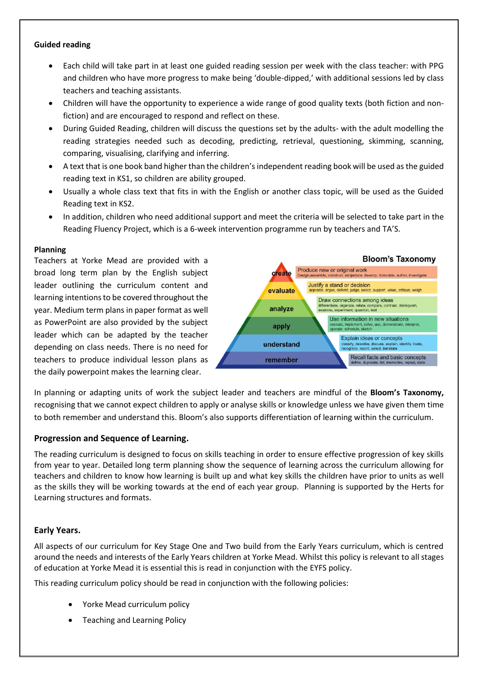#### **Guided reading**

- Each child will take part in at least one guided reading session per week with the class teacher: with PPG and children who have more progress to make being 'double-dipped,' with additional sessions led by class teachers and teaching assistants.
- Children will have the opportunity to experience a wide range of good quality texts (both fiction and nonfiction) and are encouraged to respond and reflect on these.
- During Guided Reading, children will discuss the questions set by the adults- with the adult modelling the reading strategies needed such as decoding, predicting, retrieval, questioning, skimming, scanning, comparing, visualising, clarifying and inferring.
- A text that is one book band higher than the children's independent reading book will be used as the guided reading text in KS1, so children are ability grouped.
- Usually a whole class text that fits in with the English or another class topic, will be used as the Guided Reading text in KS2.
- In addition, children who need additional support and meet the criteria will be selected to take part in the Reading Fluency Project, which is a 6-week intervention programme run by teachers and TA'S.

#### **Planning**

Teachers at Yorke Mead are provided with a broad long term plan by the English subject leader outlining the curriculum content and learning intentions to be covered throughout the year. Medium term plans in paper format as well as PowerPoint are also provided by the subject leader which can be adapted by the teacher depending on class needs. There is no need for teachers to produce individual lesson plans as the daily powerpoint makes the learning clear.



In planning or adapting units of work the subject leader and teachers are mindful of the **Bloom's Taxonomy,** recognising that we cannot expect children to apply or analyse skills or knowledge unless we have given them time to both remember and understand this. Bloom's also supports differentiation of learning within the curriculum.

#### **Progression and Sequence of Learning.**

The reading curriculum is designed to focus on skills teaching in order to ensure effective progression of key skills from year to year. Detailed long term planning show the sequence of learning across the curriculum allowing for teachers and children to know how learning is built up and what key skills the children have prior to units as well as the skills they will be working towards at the end of each year group. Planning is supported by the Herts for Learning structures and formats.

### **Early Years.**

All aspects of our curriculum for Key Stage One and Two build from the Early Years curriculum, which is centred around the needs and interests of the Early Years children at Yorke Mead. Whilst this policy is relevant to all stages of education at Yorke Mead it is essential this is read in conjunction with the EYFS policy.

This reading curriculum policy should be read in conjunction with the following policies:

- Yorke Mead curriculum policy
- Teaching and Learning Policy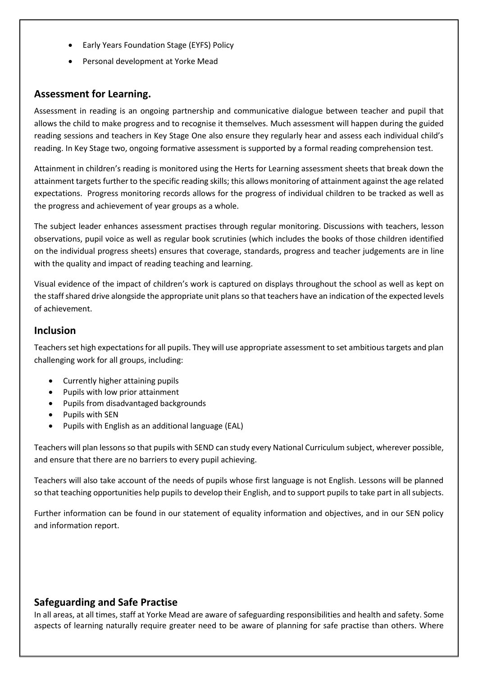- Early Years Foundation Stage (EYFS) Policy
- Personal development at Yorke Mead

### **Assessment for Learning.**

Assessment in reading is an ongoing partnership and communicative dialogue between teacher and pupil that allows the child to make progress and to recognise it themselves. Much assessment will happen during the guided reading sessions and teachers in Key Stage One also ensure they regularly hear and assess each individual child's reading. In Key Stage two, ongoing formative assessment is supported by a formal reading comprehension test.

Attainment in children's reading is monitored using the Herts for Learning assessment sheets that break down the attainment targets further to the specific reading skills; this allows monitoring of attainment against the age related expectations. Progress monitoring records allows for the progress of individual children to be tracked as well as the progress and achievement of year groups as a whole.

The subject leader enhances assessment practises through regular monitoring. Discussions with teachers, lesson observations, pupil voice as well as regular book scrutinies (which includes the books of those children identified on the individual progress sheets) ensures that coverage, standards, progress and teacher judgements are in line with the quality and impact of reading teaching and learning.

Visual evidence of the impact of children's work is captured on displays throughout the school as well as kept on the staff shared drive alongside the appropriate unit plans so that teachers have an indication of the expected levels of achievement.

### **Inclusion**

Teachers set high expectations for all pupils. They will use appropriate assessment to set ambitious targets and plan challenging work for all groups, including:

- Currently higher attaining pupils
- Pupils with low prior attainment
- Pupils from disadvantaged backgrounds
- Pupils with SEN
- Pupils with English as an additional language (EAL)

Teachers will plan lessons so that pupils with SEND can study every National Curriculum subject, wherever possible, and ensure that there are no barriers to every pupil achieving.

Teachers will also take account of the needs of pupils whose first language is not English. Lessons will be planned so that teaching opportunities help pupils to develop their English, and to support pupils to take part in all subjects.

Further information can be found in our statement of equality information and objectives, and in our SEN policy and information report.

### **Safeguarding and Safe Practise**

In all areas, at all times, staff at Yorke Mead are aware of safeguarding responsibilities and health and safety. Some aspects of learning naturally require greater need to be aware of planning for safe practise than others. Where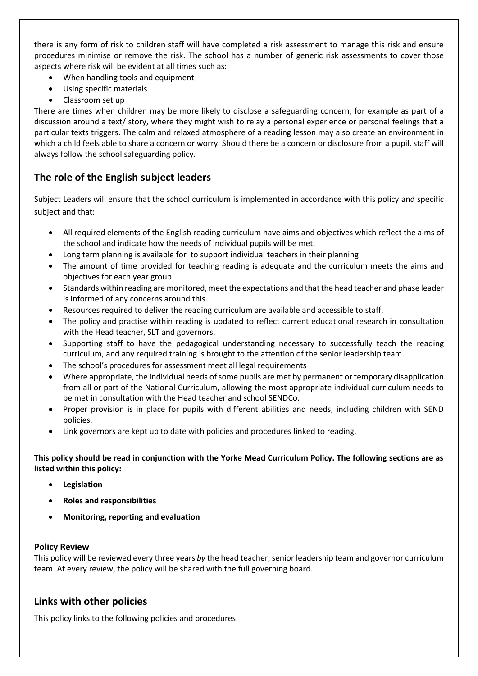there is any form of risk to children staff will have completed a risk assessment to manage this risk and ensure procedures minimise or remove the risk. The school has a number of generic risk assessments to cover those aspects where risk will be evident at all times such as:

- When handling tools and equipment
- Using specific materials
- Classroom set up

There are times when children may be more likely to disclose a safeguarding concern, for example as part of a discussion around a text/ story, where they might wish to relay a personal experience or personal feelings that a particular texts triggers. The calm and relaxed atmosphere of a reading lesson may also create an environment in which a child feels able to share a concern or worry. Should there be a concern or disclosure from a pupil, staff will always follow the school safeguarding policy.

# **The role of the English subject leaders**

Subject Leaders will ensure that the school curriculum is implemented in accordance with this policy and specific subject and that:

- All required elements of the English reading curriculum have aims and objectives which reflect the aims of the school and indicate how the needs of individual pupils will be met.
- Long term planning is available for to support individual teachers in their planning
- The amount of time provided for teaching reading is adequate and the curriculum meets the aims and objectives for each year group.
- Standards within reading are monitored, meet the expectations and that the head teacher and phase leader is informed of any concerns around this.
- Resources required to deliver the reading curriculum are available and accessible to staff.
- The policy and practise within reading is updated to reflect current educational research in consultation with the Head teacher, SLT and governors.
- Supporting staff to have the pedagogical understanding necessary to successfully teach the reading curriculum, and any required training is brought to the attention of the senior leadership team.
- The school's procedures for assessment meet all legal requirements
- Where appropriate, the individual needs of some pupils are met by permanent or temporary disapplication from all or part of the National Curriculum, allowing the most appropriate individual curriculum needs to be met in consultation with the Head teacher and school SENDCo.
- Proper provision is in place for pupils with different abilities and needs, including children with SEND policies.
- Link governors are kept up to date with policies and procedures linked to reading.

#### **This policy should be read in conjunction with the Yorke Mead Curriculum Policy. The following sections are as listed within this policy:**

- **Legislation**
- **Roles and responsibilities**
- **Monitoring, reporting and evaluation**

#### **Policy Review**

This policy will be reviewed every three years *by* the head teacher, senior leadership team and governor curriculum team. At every review, the policy will be shared with the full governing board.

### **Links with other policies**

This policy links to the following policies and procedures: